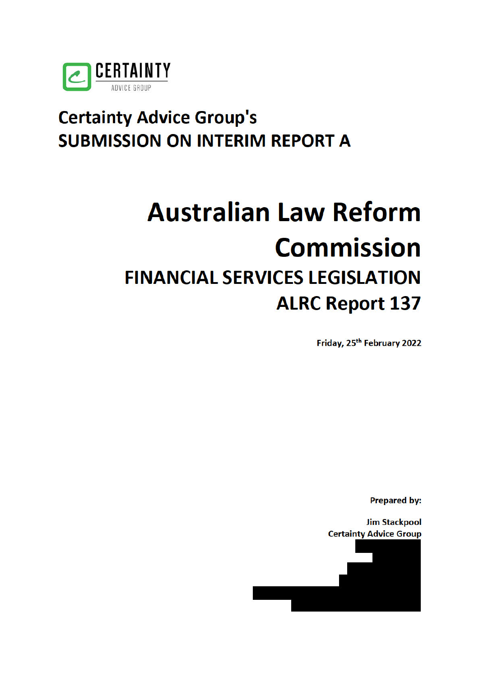

## **Certainty Advice Group's SUBMISSION ON INTERIM REPORT A**

# **Australian Law Reform Commission FINANCIAL SERVICES LEGISLATION ALRC Report 137**

Friday, 25<sup>th</sup> February 2022

**Prepared by:** 

**Jim Stackpool Certainty Advice Group** 

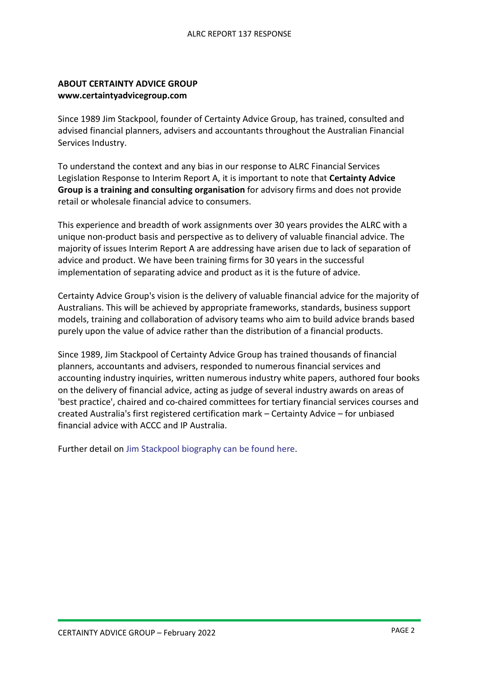#### **ABOUT CERTAINTY ADVICE GROUP www.certaintyadvicegroup.com**

Since 1989 Jim Stackpool, founder of Certainty Advice Group, has trained, consulted and advised financial planners, advisers and accountants throughout the Australian Financial Services Industry.

To understand the context and any bias in our response to ALRC Financial Services Legislation Response to Interim Report A, it is important to note that **Certainty Advice Group is a training and consulting organisation** for advisory firms and does not provide retail or wholesale financial advice to consumers.

This experience and breadth of work assignments over 30 years provides the ALRC with a unique non-product basis and perspective as to delivery of valuable financial advice. The majority of issues Interim Report A are addressing have arisen due to lack of separation of advice and product. We have been training firms for 30 years in the successful implementation of separating advice and product as it is the future of advice.

Certainty Advice Group's vision is the delivery of valuable financial advice for the majority of Australians. This will be achieved by appropriate frameworks, standards, business support models, training and collaboration of advisory teams who aim to build advice brands based purely upon the value of advice rather than the distribution of a financial products.

Since 1989, Jim Stackpool of Certainty Advice Group has trained thousands of financial planners, accountants and advisers, responded to numerous financial services and accounting industry inquiries, written numerous industry white papers, authored four books on the delivery of financial advice, acting as judge of several industry awards on areas of 'best practice', chaired and co-chaired committees for tertiary financial services courses and created Australia's first registered certification mark – Certainty Advice – for unbiased financial advice with ACCC and IP Australia.

Further detail on Jim Stackpool biography can be found here.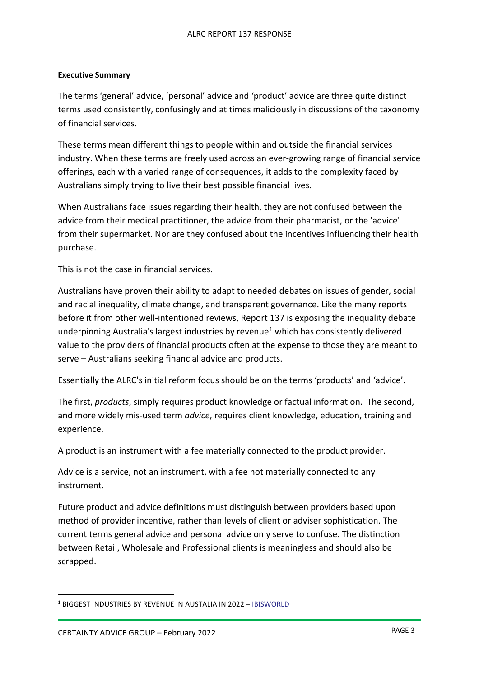#### **Executive Summary**

The terms 'general' advice, 'personal' advice and 'product' advice are three quite distinct terms used consistently, confusingly and at times maliciously in discussions of the taxonomy of financial services.

These terms mean different things to people within and outside the financial services industry. When these terms are freely used across an ever-growing range of financial service offerings, each with a varied range of consequences, it adds to the complexity faced by Australians simply trying to live their best possible financial lives.

When Australians face issues regarding their health, they are not confused between the advice from their medical practitioner, the advice from their pharmacist, or the 'advice' from their supermarket. Nor are they confused about the incentives influencing their health purchase.

This is not the case in financial services.

Australians have proven their ability to adapt to needed debates on issues of gender, social and racial inequality, climate change, and transparent governance. Like the many reports before it from other well-intentioned reviews, Report 137 is exposing the inequality debate underpinning Australia's largest industries by revenue<sup>1</sup> which has consistently delivered value to the providers of financial products often at the expense to those they are meant to serve – Australians seeking financial advice and products.

Essentially the ALRC's initial reform focus should be on the terms 'products' and 'advice'.

The first, *products*, simply requires product knowledge or factual information. The second, and more widely mis-used term *advice*, requires client knowledge, education, training and experience.

A product is an instrument with a fee materially connected to the product provider.

Advice is a service, not an instrument, with a fee not materially connected to any instrument.

Future product and advice definitions must distinguish between providers based upon method of provider incentive, rather than levels of client or adviser sophistication. The current terms general advice and personal advice only serve to confuse. The distinction between Retail, Wholesale and Professional clients is meaningless and should also be scrapped.

<sup>1</sup> BIGGEST INDUSTRIES BY REVENUE IN AUSTALIA IN 2022 – IBISWORLD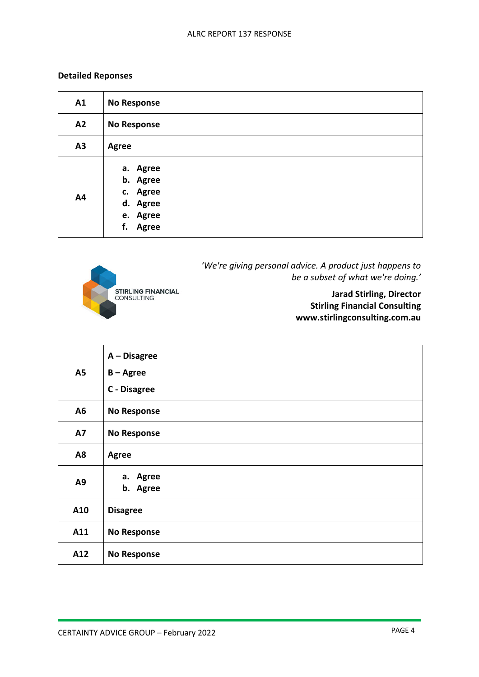### **Detailed Reponses**

| A1 | <b>No Response</b>                                                      |
|----|-------------------------------------------------------------------------|
| A2 | <b>No Response</b>                                                      |
| A3 | <b>Agree</b>                                                            |
| A4 | a. Agree<br>b. Agree<br>c. Agree<br>d. Agree<br>e. Agree<br>f.<br>Agree |



*'We're giving personal advice. A product just happens to be a subset of what we're doing.'* 

> **Jarad Stirling, Director Stirling Financial Consulting www.stirlingconsulting.com.au**

| <b>A5</b>      | $A - Disagree$<br>$B - Agree$<br>C - Disagree |
|----------------|-----------------------------------------------|
| A6             | <b>No Response</b>                            |
| <b>A7</b>      | <b>No Response</b>                            |
| A8             | <b>Agree</b>                                  |
| A <sub>9</sub> | a. Agree<br>b. Agree                          |
| A10            | <b>Disagree</b>                               |
| A11            | <b>No Response</b>                            |
| A12            | <b>No Response</b>                            |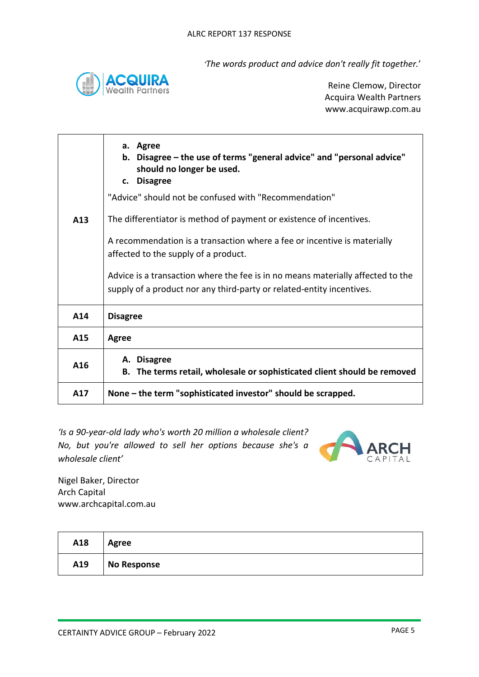*'The words product and advice don't really fit together.*'



Reine Clemow, Director Acquira Wealth Partners www.acquirawp.com.au

| A <sub>13</sub> | a. Agree<br>b. Disagree – the use of terms "general advice" and "personal advice"<br>should no longer be used.<br>c. Disagree<br>"Advice" should not be confused with "Recommendation"<br>The differentiator is method of payment or existence of incentives.<br>A recommendation is a transaction where a fee or incentive is materially<br>affected to the supply of a product.<br>Advice is a transaction where the fee is in no means materially affected to the<br>supply of a product nor any third-party or related-entity incentives. |
|-----------------|-----------------------------------------------------------------------------------------------------------------------------------------------------------------------------------------------------------------------------------------------------------------------------------------------------------------------------------------------------------------------------------------------------------------------------------------------------------------------------------------------------------------------------------------------|
| A14             | <b>Disagree</b>                                                                                                                                                                                                                                                                                                                                                                                                                                                                                                                               |
| A15             | <b>Agree</b>                                                                                                                                                                                                                                                                                                                                                                                                                                                                                                                                  |
| A16             | A. Disagree<br>B. The terms retail, wholesale or sophisticated client should be removed                                                                                                                                                                                                                                                                                                                                                                                                                                                       |
| A17             | None – the term "sophisticated investor" should be scrapped.                                                                                                                                                                                                                                                                                                                                                                                                                                                                                  |

*'Is a 90-year-old lady who's worth 20 million a wholesale client? No, but you're allowed to sell her options because she's a wholesale client'*



Nigel Baker, Director Arch Capital www.archcapital.com.au

| A18 | Agree       |
|-----|-------------|
| A19 | No Response |